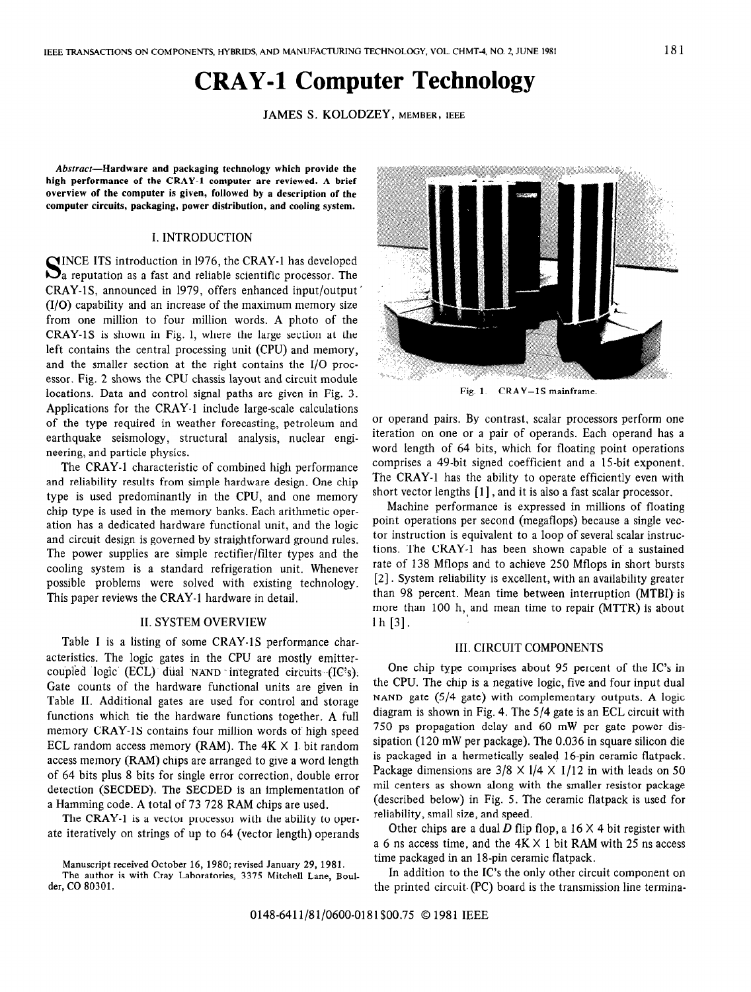# CRAY-1 Computer Technology

JAMES S. KOLODZEY, MEMBER, IEEE

Abstract-Hardware and packaging technology which provide the high performance of the CRAY-1 computer are reviewed. A brief overview of the computer is given, followed by a description of the computer circuits, packaging, power distribution, and cooling system.

# I. INTRODUCTION

SINCE ITS introduction in 1976, the CRAY-1 has developed<br>Sa reputation as a fast and reliable scientific processor. The CRAY-lS, announced in 1979, offers enhanced input/output (I/O) capability and an increase of the maximum memory size from one million to four million words. A photo of the CRAY-1S is shown in Fig. 1, where the large section at the left contains the central processing unit (CPU) and memory, and the smaller section at the right contains the I/O processor. Fig. 2 shows the CPU chassis layout and circuit module locations. Data and control signal paths are given in Fig. 3. Applications for the CRAY-1 include large-scale calculations of the type required in weather forecasting, petroleum and earthquake seismology, structural analysis, nuclear engineering, and particle physics.

The CRAY-1 characteristic of combined high performance and reliability results from simple hardware design. One chip type is used predominantly in the CPU, and one memory chip type is used in the memory banks. Each arithmetic operation has a dedicated hardware functional unit, and the logic and circuit design is governed by straightforward ground rules. The power supplies are simple rectifier/filter types and the cooling system is a standard refrigeration unit. Whenever possible problems were solved with existing technology. This paper reviews the CRAY-1 hardware in detail.

### II. SYSTEM OVERVIEW

Table 1 is a listing of some CRAY-1S performance characteristics. The logic gates in the CPU are mostly emittercoupled logic (ECL) dual  $NAND$  integrated circuits  $(IC's)$ . Gate counts of the hardware functional units are given in Table II. Additional gates are used for control and storage functions which tie the hardware functions together. A full memory CRAY-IS contains four million words of high speed ECL random access memory (RAM). The  $4K \times 1$  bit random access memory (RAM) chips are arranged to give a word length of 64 bits plus 8 bits for single error correction, double error detection (SECDED). The SECDED is an implementation of a Hamming code. A total of 73 728 RAM chips are used.

The CRAY-1 is a vector processor with the ability to operate iteratively on strings of up to 64 (vector length) operands



Fig. 1. CRAY-IS mainframe.

or operand pairs. By contrast, scalar processors perform one iteration on one or a pair of operands. Each operand has a word length of 64 bits, which for floating point operations comprises a 49-bit signed coefficient and a 15-bit exponent. The CRAY-1 has the ability to operate efficiently even with short vector lengths [l] , and it is also a fast scalar processor.

Machine performance is expressed in millions of floating point operations per second (megaflops) because a single vector instruction is equivalent to a loop of several scalar instructions. The CRAY-1 has been shown capable of a sustained rate of 138 Mflops and to achieve 250 Mflops in short bursts [2] . System reliability is excellent, with an availability greater than 98 percent. Mean time between interruption (MTBI) is more than 100 h, and mean time to repair (MTTR) is about 1 h [3].

# III. CIRCUIT COMPONENTS

One chip type comprises about 95 percent of the IC's in the CPU. The chip is a negative logic, five and four input dual NAND gate  $(5/4)$  gate) with complementary outputs. A logic diagram is shown in Fig. 4. The S/4 gate is an ECL circuit with 750 ps propagation delay and 60 mW per gate power dissipation (120 mW per package). The 0.036 in square silicon die is packaged in a hermetically sealed 16-pin ceramic flatpack. Package dimensions are  $3/8 \times 1/4 \times 1/12$  in with leads on 50 mil centers as shown along with the smaller resistor package (described below) in Fig. 5. The ceramic flatpack is used for reliability, small size, and speed.

Other chips are a dual D flip flop, a  $16 \times 4$  bit register with a 6 ns access time, and the  $4K \times 1$  bit RAM with 25 ns access time packaged in an 18-pin ceramic flatpack.

In addition to the IC's the only other circuit component on the printed circuit. (PC) board is the transmission line termina-

Manuscript received October 16, 1980; revised January 29, 1981. The author is with Cray Laboratories, 3375 Mitchell Lane, Boulder, CO 80301.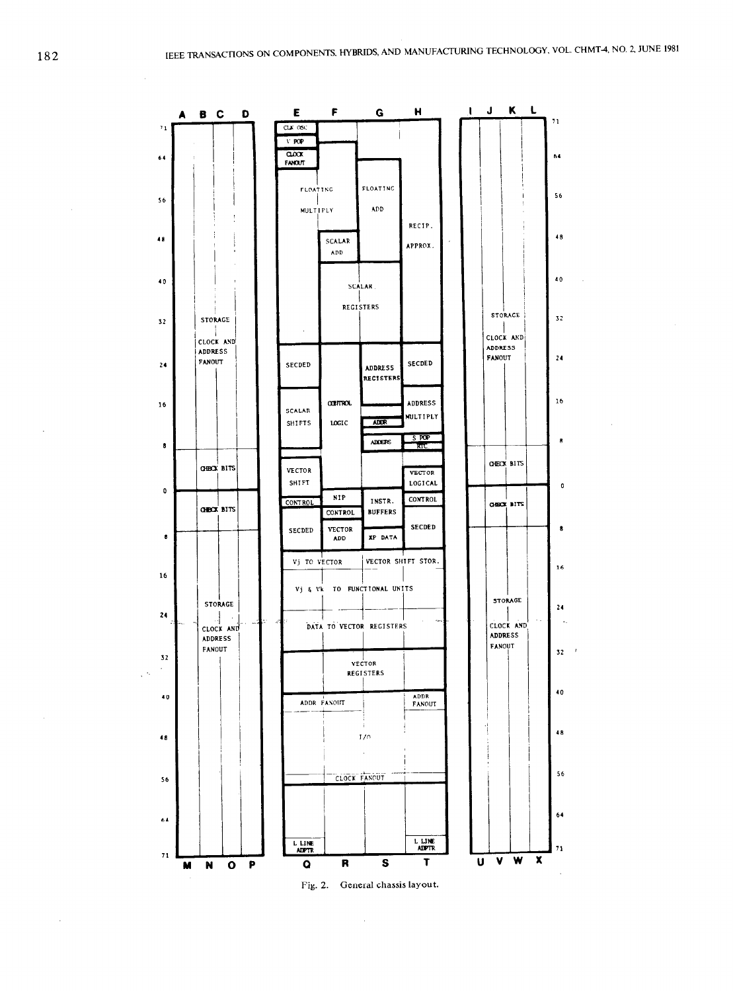

 $\bar{z}$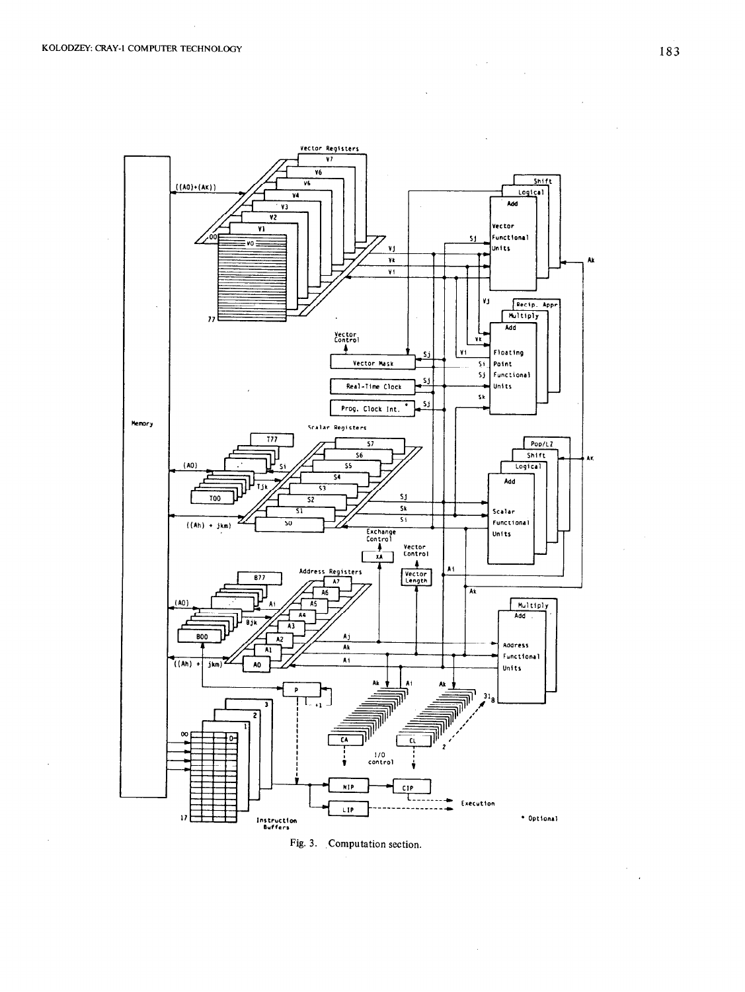

Fig. 3. Computation section.

 $\bar{\beta}$ 

 $\Delta \sim 200$  km s  $^{-1}$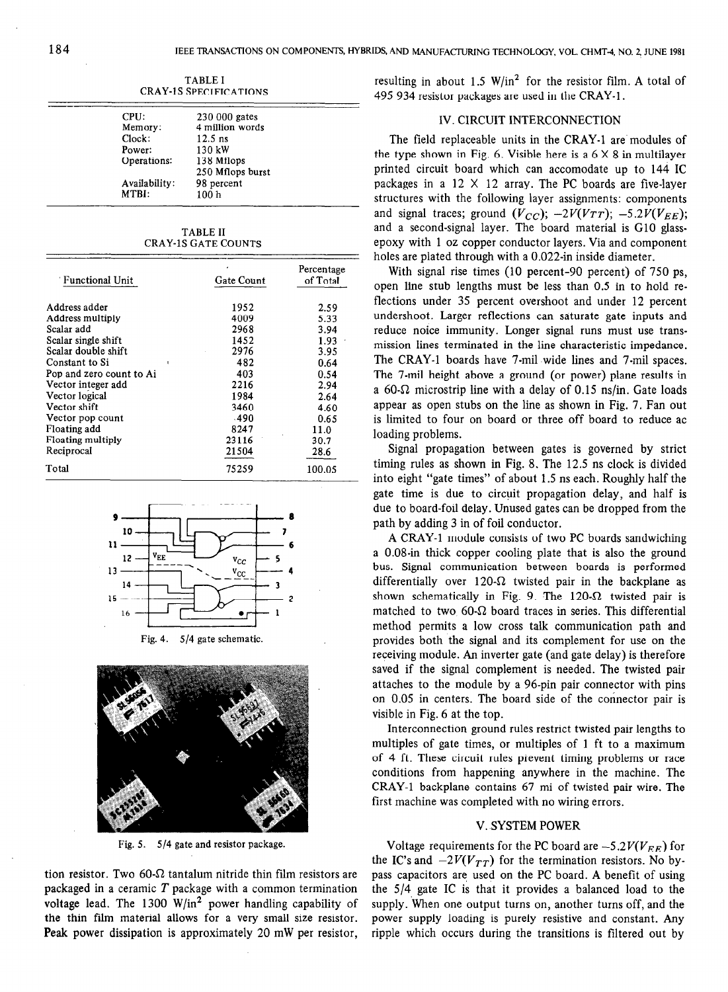| CPU:          | 230 000 gates    |  |
|---------------|------------------|--|
| Memory:       | 4 million words  |  |
| Clock:        | $12.5$ ns        |  |
| Power:        | 130 kW           |  |
| Operations:   | 138 Mflops       |  |
|               | 250 Mflops burst |  |
| Availability: | 98 percent       |  |
| MTBI:         | 100 <sub>h</sub> |  |

TABLE I CRAY-1S SPECIFICATIONS

TABLE II CRAY-1S GATE COUNTS

| <b>Functional Unit</b>   | Gate Count | Percentage<br>of Total |  |
|--------------------------|------------|------------------------|--|
|                          |            |                        |  |
| Address adder            | 1952       | 2.59                   |  |
| Address multiply         | 4009       | 5.33                   |  |
| Scalar add               | 2968       | 3.94                   |  |
| Scalar single shift      | 1452       | 1.93                   |  |
| Scalar double shift      | 2976       | 3.95                   |  |
| Constant to Si           | 482        | 0.64                   |  |
| Pop and zero count to Ai | 403        | 0.54                   |  |
| Vector integer add       | 2216       | 2.94                   |  |
| Vector logical           | 1984       | 2.64                   |  |
| Vector shift             | 3460       | 4.60                   |  |
| Vector pop count         | .490       | 0.65                   |  |
| Floating add             | 8247       | 11.0                   |  |
| Floating multiply        | 23116      | 30.7                   |  |
| Reciprocal               | 21504      | 28.6                   |  |
| Total                    | 75259      | 100.05                 |  |







Fig. 5. 5/4 gate and resistor package.

tion resistor. Two 60- $\Omega$  tantalum nitride thin film resistors are packaged in a ceramic  $T$  package with a common termination voltage lead. The  $1300 \text{ W/in}^2$  power handling capability of the thin film material allows for a very small size resistor. Peak power dissipation is approximately 20 mW per resistor, resulting in about 1.5  $W/in^2$  for the resistor film. A total of 495 934 resistor packages are used in the CRAY-1.

# IV. CIRCUIT INTERCONNECTION

The field replaceable units in the CRAY-1 are modules of the type shown in Fig. 6. Visible here is a  $6 \times 8$  in multilayer printed circuit board which can accomodate up to 144 IC packages in a  $12 \times 12$  array. The PC boards are five-layer structures with the following layer assignments: components and signal traces; ground  $(V_{CC})$ ;  $-2V(V_{TT})$ ;  $-5.2V(V_{EE})$ ; and a second-signal layer. The board material is Cl0 glassepoxy with 1 oz copper conductor layers. Via and component holes are plated through with a 0.022-in inside diameter.

With signal rise times (10 percent-90 percent) of 750 ps, open line stub lengths must be less than 0.5 in to hold reflections under 35 percent overshoot and under 12 percent undershoot. Larger reflections can saturate gate inputs and reduce noice immunity. Longer signal runs must use transmission lines terminated in the line characteristic impedance. The CRAY-1 boards have 7-mil wide lines and 7-mil spaces. The 7-mil height above a ground (or power) plane results in a 60- $\Omega$  microstrip line with a delay of 0.15 ns/in. Gate loads appear as open stubs on the line as shown in Fig. 7. Fan out is limited to four on board or three off board to reduce ac loading problems.

Signal propagation between gates is governed by strict timing rules as shown in Fig. 8. The 12.5 ns clock is divided into eight "gate times" of about 1.5 ns each. Roughly half the gate time is due to circuit propagation delay, and half is due to board-foil delay. Unused gates can be dropped from the path by adding 3 in of foil conductor.

A CRAY-1 module consists of two PC boards sandwiching a 0.08-in thick copper cooling plate that is also the ground bus. Signal communication between boards is performed differentially over  $120-\Omega$  twisted pair in the backplane as shown schematically in Fig. 9. The 120- $\Omega$  twisted pair is matched to two 60- $\Omega$  board traces in series. This differential method permits a low cross talk communication path and provides both the signal and its complement for use on the receiving module. An inverter gate (and gate delay) is therefore saved if the signal complement is needed. The twisted pair attaches to the module by a 96-pin pair connector with pins on 0.05 in centers. The board side of the connector pair is visible in Fig. 6 at the top.

Interconnection ground rules restrict twisted pair lengths to multiples of gate times, or multiples of 1 ft to a maximum of 4 ft. These circuit rules prevent timing problems or race conditions from happening anywhere in the machine. The CRAY-1 backplane contains 67 mi of twisted pair wire. The first machine was completed with no wiring errors.

### V. SYSTEM POWER

Voltage requirements for the PC board are  $-5.2V(V_{EF})$  for the IC's and  $-2V(V_{TT})$  for the termination resistors. No bypass capacitors are used on the PC board. A benefit of using the 5/4 gate IC is that it provides a balanced load to the supply. When one output turns on, another turns off, and the power supply loading is purely resistive and constant. Any ripple which occurs during the transitions is filtered out by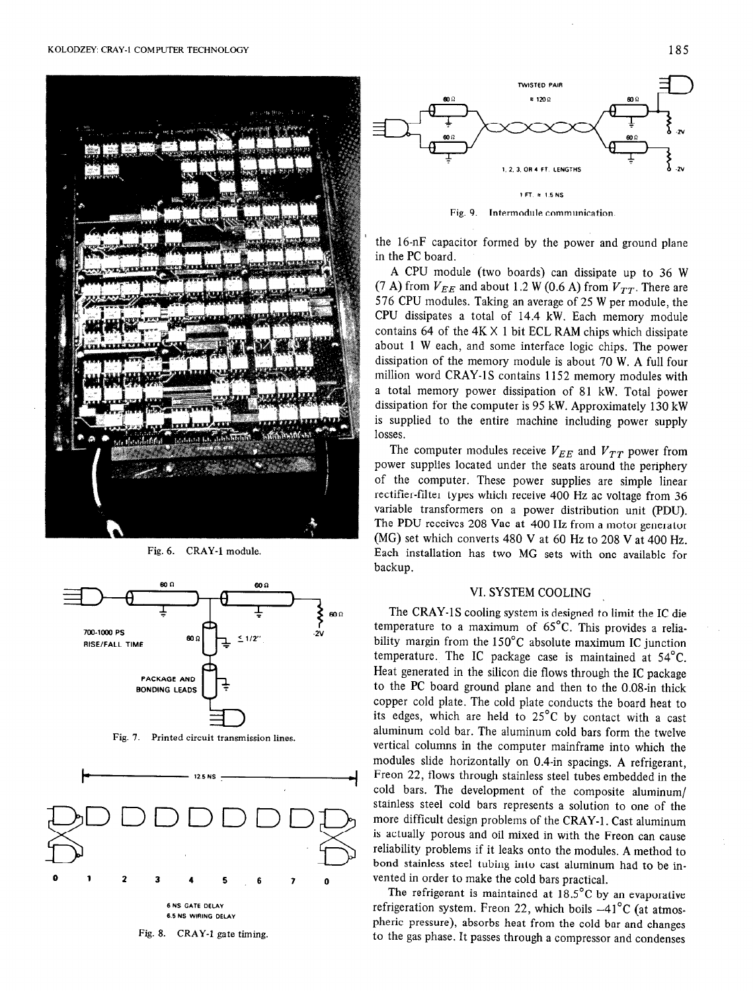

Fig. 6. CRAY-1 module.



Fig. 7. Printed circuit transmission lines,







Fig. 9. Intermodule communication.

the 16-nF capacitor formed by the power and ground plane in the PC board.

A CPU module (two boards) can dissipate up to 36 W (7 A) from  $V_{EE}$  and about 1.2 W (0.6 A) from  $V_{TT}$ . There are 576 CPU modules. Taking an average of 25 W per module, the CPU dissipates a total of 14.4 kW. Each memory module contains 64 of the  $4K \times 1$  bit ECL RAM chips which dissipate about 1 W each, and some interface logic chips. The power dissipation of the memory module is about 70 W. A full four million word CRAY-1S contains 1152 memory modules with a total memory power dissipation of 81 kW. Total power dissipation for the computer is 95 kW. Approximately 130 kW is supplied to the entire machine including power supply losses.

The computer modules receive  $V_{EE}$  and  $V_{TT}$  power from power supplies located under the seats around the periphery of the computer. These power supplies are simple linear rectifier-filter types which receive 400 Hz ac voltage from 36 variable transformers on a power distribution unit (PDU). The PDU receives 208 Vac at 400 Hz from a motor generator (MC) set which converts 480 V at 60 Hz to 208 V at 400 Hz. Each installation has two MG sets with one available for backup.

#### VI. SYSTEM COOLING

The CRAY-1S cooling system is designed to limit the IC die temperature to a maximum of 65°C. This provides a reliability margin from the 150°C absolute maximum IC junction temperature. The IC package case is maintained at 54°C. Heat generated in the silicon die flows through the IC package to the PC board ground plane and then to the 0.08-in thick copper cold plate. The cold plate conducts the board heat to its edges, which are held to 25°C by contact with a cast aluminum cold bar. The aluminum cold bars form the twelve vertical columns in the computer mainframe into which the modules slide horizontally on 0.4-in spacings. A refrigerant, Freon 22, flows through stainless steel tubes embedded in the cold bars. The development of the composite aluminum/ stainless steel cold bars represents a solution to one of the more difficult design problems of the CRAY-1. Cast aluminum is actually porous and oil mixed in with the Freon can cause reliability problems if it leaks onto the modules. A method to bond stainless steel tubing into cast aluminum had to be invented in order to make the cold bars practical.

The refrigerant is maintained at  $18.5^{\circ}$ C by an evaporative refrigeration system. Freon 22, which boils  $-41^{\circ}$ C (at atmospheric pressure), absorbs heat from the cold bar and changes to the gas phase. It passes through a compressor and condenses